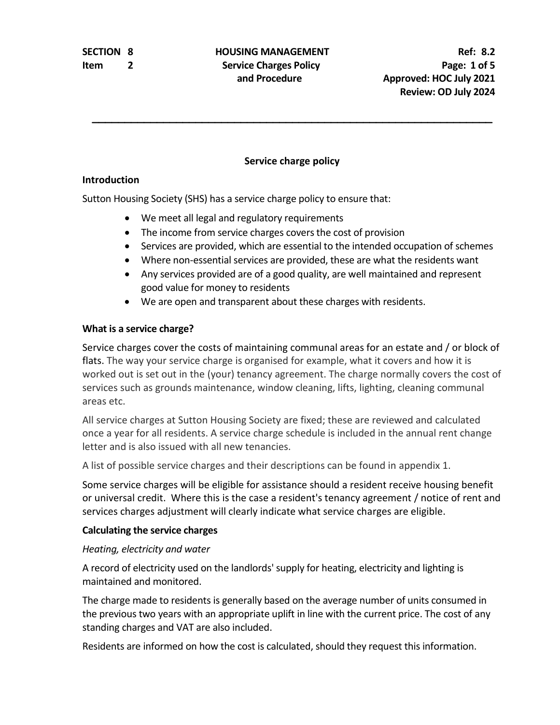## **SECTION 8 HOUSING MANAGEMENT Ref: 8.2 Item** 2 **Service Charges Policy Page:** 1 of 5

### **Service charge policy**

#### **Introduction**

Sutton Housing Society (SHS) has a service charge policy to ensure that:

- We meet all legal and regulatory requirements
- The income from service charges covers the cost of provision
- Services are provided, which are essential to the intended occupation of schemes
- Where non-essential services are provided, these are what the residents want
- Any services provided are of a good quality, are well maintained and represent good value for money to residents
- We are open and transparent about these charges with residents.

### **What is a service charge?**

Service charges cover the costs of maintaining communal areas for an estate and / or block of flats. The way your service charge is organised for example, what it covers and how it is worked out is set out in the (your) tenancy agreement. The charge normally covers the cost of services such as grounds maintenance, window cleaning, lifts, lighting, cleaning communal areas etc.

All service charges at Sutton Housing Society are fixed; these are reviewed and calculated once a year for all residents. A service charge schedule is included in the annual rent change letter and is also issued with all new tenancies.

A list of possible service charges and their descriptions can be found in appendix 1.

Some service charges will be eligible for assistance should a resident receive housing benefit or universal credit. Where this is the case a resident's tenancy agreement / notice of rent and services charges adjustment will clearly indicate what service charges are eligible.

#### **Calculating the service charges**

#### *Heating, electricity and water*

A record of electricity used on the landlords' supply for heating, electricity and lighting is maintained and monitored.

The charge made to residents is generally based on the average number of units consumed in the previous two years with an appropriate uplift in line with the current price. The cost of any standing charges and VAT are also included.

Residents are informed on how the cost is calculated, should they request this information.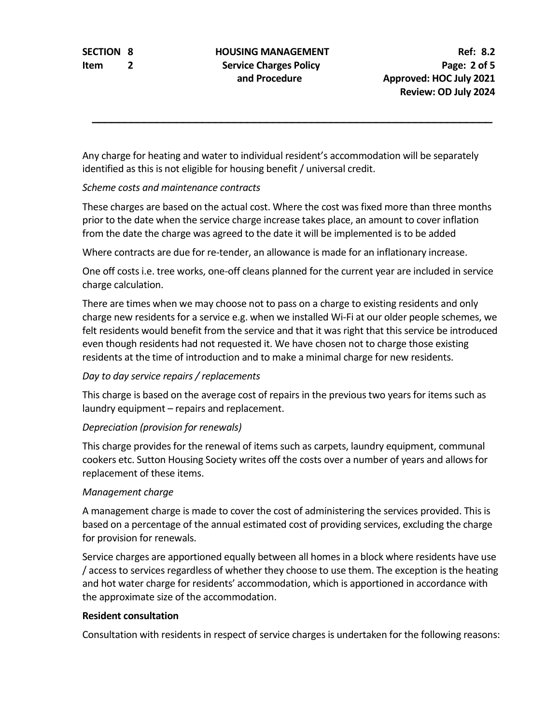## **SECTION 8 HOUSING MANAGEMENT Ref:** 8.2 **Item** 2 **Service Charges Policy Page:** 2 of 5

Any charge for heating and water to individual resident's accommodation will be separately identified as this is not eligible for housing benefit / universal credit.

#### *Scheme costs and maintenance contracts*

These charges are based on the actual cost. Where the cost was fixed more than three months prior to the date when the service charge increase takes place, an amount to cover inflation from the date the charge was agreed to the date it will be implemented is to be added

Where contracts are due for re-tender, an allowance is made for an inflationary increase.

One off costs i.e. tree works, one-off cleans planned for the current year are included in service charge calculation.

There are times when we may choose not to pass on a charge to existing residents and only charge new residents for a service e.g. when we installed Wi-Fi at our older people schemes, we felt residents would benefit from the service and that it was right that this service be introduced even though residents had not requested it. We have chosen not to charge those existing residents at the time of introduction and to make a minimal charge for new residents.

#### *Day to day service repairs / replacements*

This charge is based on the average cost of repairs in the previous two years for items such as laundry equipment – repairs and replacement.

#### *Depreciation (provision for renewals)*

This charge provides for the renewal of items such as carpets, laundry equipment, communal cookers etc. Sutton Housing Society writes off the costs over a number of years and allows for replacement of these items.

#### *Management charge*

A management charge is made to cover the cost of administering the services provided. This is based on a percentage of the annual estimated cost of providing services, excluding the charge for provision for renewals.

Service charges are apportioned equally between all homes in a block where residents have use / access to services regardless of whether they choose to use them. The exception is the heating and hot water charge for residents' accommodation, which is apportioned in accordance with the approximate size of the accommodation.

#### **Resident consultation**

Consultation with residents in respect of service charges is undertaken for the following reasons: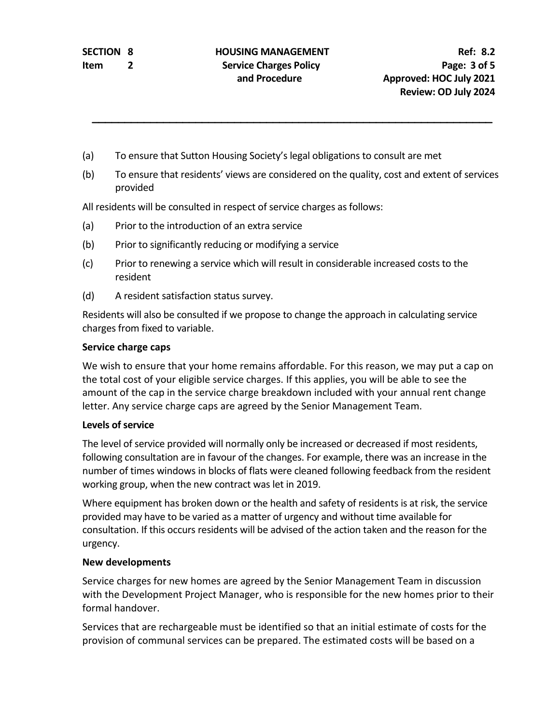- (a) To ensure that Sutton Housing Society's legal obligations to consult are met
- (b) To ensure that residents' views are considered on the quality, cost and extent of services provided

All residents will be consulted in respect of service charges as follows:

- (a) Prior to the introduction of an extra service
- (b) Prior to significantly reducing or modifying a service
- (c) Prior to renewing a service which will result in considerable increased costs to the resident
- (d) A resident satisfaction status survey.

Residents will also be consulted if we propose to change the approach in calculating service charges from fixed to variable.

#### **Service charge caps**

We wish to ensure that your home remains affordable. For this reason, we may put a cap on the total cost of your eligible service charges. If this applies, you will be able to see the amount of the cap in the service charge breakdown included with your annual rent change letter. Any service charge caps are agreed by the Senior Management Team.

#### **Levels of service**

The level of service provided will normally only be increased or decreased if most residents, following consultation are in favour of the changes. For example, there was an increase in the number of times windows in blocks of flats were cleaned following feedback from the resident working group, when the new contract was let in 2019.

Where equipment has broken down or the health and safety of residents is at risk, the service provided may have to be varied as a matter of urgency and without time available for consultation. If this occurs residents will be advised of the action taken and the reason for the urgency.

#### **New developments**

Service charges for new homes are agreed by the Senior Management Team in discussion with the Development Project Manager, who is responsible for the new homes prior to their formal handover.

Services that are rechargeable must be identified so that an initial estimate of costs for the provision of communal services can be prepared. The estimated costs will be based on a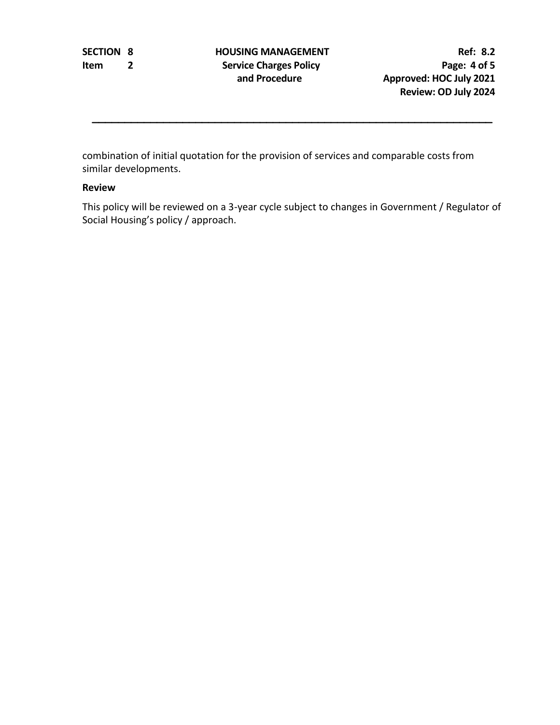combination of initial quotation for the provision of services and comparable costs from similar developments.

#### **Review**

This policy will be reviewed on a 3-year cycle subject to changes in Government / Regulator of Social Housing's policy / approach.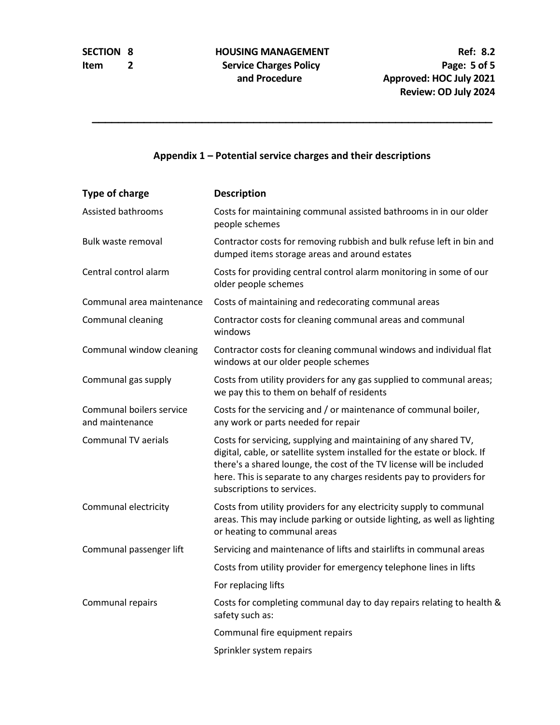### **Appendix 1 – Potential service charges and their descriptions**

| <b>Type of charge</b>                       | <b>Description</b>                                                                                                                                                                                                                                                                                                          |
|---------------------------------------------|-----------------------------------------------------------------------------------------------------------------------------------------------------------------------------------------------------------------------------------------------------------------------------------------------------------------------------|
| Assisted bathrooms                          | Costs for maintaining communal assisted bathrooms in in our older<br>people schemes                                                                                                                                                                                                                                         |
| Bulk waste removal                          | Contractor costs for removing rubbish and bulk refuse left in bin and<br>dumped items storage areas and around estates                                                                                                                                                                                                      |
| Central control alarm                       | Costs for providing central control alarm monitoring in some of our<br>older people schemes                                                                                                                                                                                                                                 |
| Communal area maintenance                   | Costs of maintaining and redecorating communal areas                                                                                                                                                                                                                                                                        |
| Communal cleaning                           | Contractor costs for cleaning communal areas and communal<br>windows                                                                                                                                                                                                                                                        |
| Communal window cleaning                    | Contractor costs for cleaning communal windows and individual flat<br>windows at our older people schemes                                                                                                                                                                                                                   |
| Communal gas supply                         | Costs from utility providers for any gas supplied to communal areas;<br>we pay this to them on behalf of residents                                                                                                                                                                                                          |
| Communal boilers service<br>and maintenance | Costs for the servicing and / or maintenance of communal boiler,<br>any work or parts needed for repair                                                                                                                                                                                                                     |
| <b>Communal TV aerials</b>                  | Costs for servicing, supplying and maintaining of any shared TV,<br>digital, cable, or satellite system installed for the estate or block. If<br>there's a shared lounge, the cost of the TV license will be included<br>here. This is separate to any charges residents pay to providers for<br>subscriptions to services. |
| Communal electricity                        | Costs from utility providers for any electricity supply to communal<br>areas. This may include parking or outside lighting, as well as lighting<br>or heating to communal areas                                                                                                                                             |
| Communal passenger lift                     | Servicing and maintenance of lifts and stairlifts in communal areas                                                                                                                                                                                                                                                         |
|                                             | Costs from utility provider for emergency telephone lines in lifts                                                                                                                                                                                                                                                          |
|                                             | For replacing lifts                                                                                                                                                                                                                                                                                                         |
| Communal repairs                            | Costs for completing communal day to day repairs relating to health &<br>safety such as:                                                                                                                                                                                                                                    |
|                                             | Communal fire equipment repairs                                                                                                                                                                                                                                                                                             |
|                                             | Sprinkler system repairs                                                                                                                                                                                                                                                                                                    |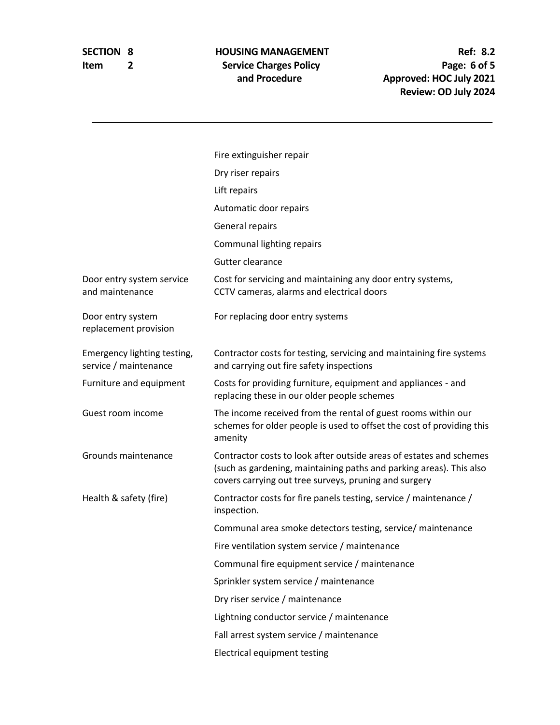# **Item 2** Service Charges Policy<br>and Procedure

**SECTION 8 HOUSING MANAGEMENT Ref:** 8.2<br> **Ref:** 8.2<br> **Ref:** 6.0 **Exercice Charges Policy and Procedure Approved: HOC July 2021 Review: OD July 2024**

|                                                      | Fire extinguisher repair                                                                                                                                                                            |
|------------------------------------------------------|-----------------------------------------------------------------------------------------------------------------------------------------------------------------------------------------------------|
|                                                      | Dry riser repairs                                                                                                                                                                                   |
|                                                      | Lift repairs                                                                                                                                                                                        |
|                                                      | Automatic door repairs                                                                                                                                                                              |
|                                                      | General repairs                                                                                                                                                                                     |
|                                                      | <b>Communal lighting repairs</b>                                                                                                                                                                    |
|                                                      | Gutter clearance                                                                                                                                                                                    |
| Door entry system service<br>and maintenance         | Cost for servicing and maintaining any door entry systems,<br>CCTV cameras, alarms and electrical doors                                                                                             |
| Door entry system<br>replacement provision           | For replacing door entry systems                                                                                                                                                                    |
| Emergency lighting testing,<br>service / maintenance | Contractor costs for testing, servicing and maintaining fire systems<br>and carrying out fire safety inspections                                                                                    |
| Furniture and equipment                              | Costs for providing furniture, equipment and appliances - and<br>replacing these in our older people schemes                                                                                        |
| Guest room income                                    | The income received from the rental of guest rooms within our<br>schemes for older people is used to offset the cost of providing this<br>amenity                                                   |
| Grounds maintenance                                  | Contractor costs to look after outside areas of estates and schemes<br>(such as gardening, maintaining paths and parking areas). This also<br>covers carrying out tree surveys, pruning and surgery |
| Health & safety (fire)                               | Contractor costs for fire panels testing, service / maintenance /<br>inspection.                                                                                                                    |
|                                                      | Communal area smoke detectors testing, service/ maintenance                                                                                                                                         |
|                                                      | Fire ventilation system service / maintenance                                                                                                                                                       |
|                                                      | Communal fire equipment service / maintenance                                                                                                                                                       |
|                                                      | Sprinkler system service / maintenance                                                                                                                                                              |
|                                                      | Dry riser service / maintenance                                                                                                                                                                     |
|                                                      | Lightning conductor service / maintenance                                                                                                                                                           |
|                                                      | Fall arrest system service / maintenance                                                                                                                                                            |
|                                                      | <b>Electrical equipment testing</b>                                                                                                                                                                 |